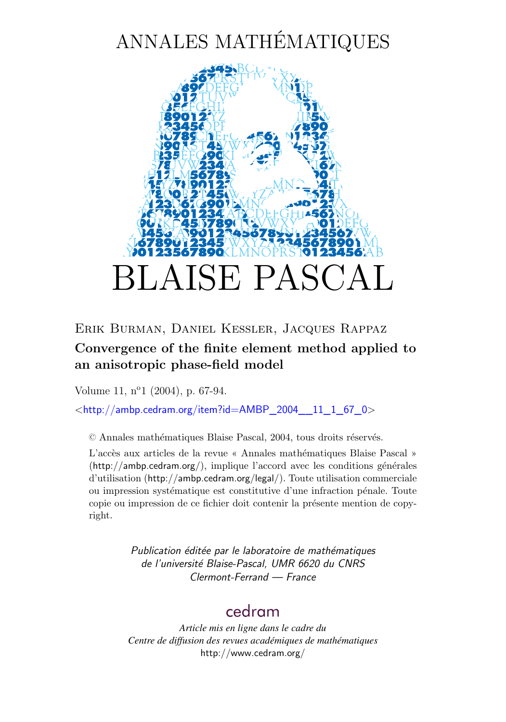# ANNALES MATHÉMATIQUES



### Erik Burman, Daniel Kessler, Jacques Rappaz

## **Convergence of the finite element method applied to an anisotropic phase-field model**

Volume 11, n<sup>o</sup>1 (2004), p. 67[-94.](#page-28-0)

<[http://ambp.cedram.org/item?id=AMBP\\_2004\\_\\_11\\_1\\_67\\_0](http://ambp.cedram.org/item?id=AMBP_2004__11_1_67_0)>

© Annales mathématiques Blaise Pascal, 2004, tous droits réservés.

L'accès aux articles de la revue « Annales mathématiques Blaise Pascal » (<http://ambp.cedram.org/>), implique l'accord avec les conditions générales d'utilisation (<http://ambp.cedram.org/legal/>). Toute utilisation commerciale ou impression systématique est constitutive d'une infraction pénale. Toute copie ou impression de ce fichier doit contenir la présente mention de copyright.

> *Publication éditée par le laboratoire de mathématiques de l'université Blaise-Pascal, UMR 6620 du CNRS Clermont-Ferrand — France*

# [cedram](http://www.cedram.org/)

*Article mis en ligne dans le cadre du Centre de diffusion des revues académiques de mathématiques* <http://www.cedram.org/>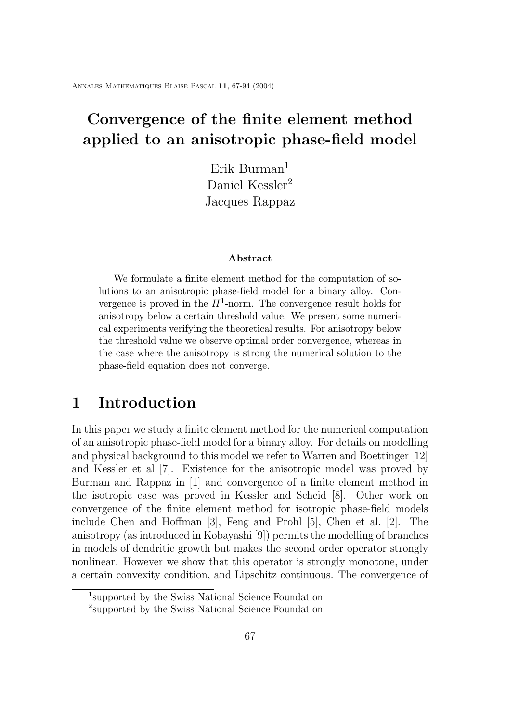# **Convergence of the finite element method applied to an anisotropic phase-field model**

Erik Burman<sup>1</sup> Daniel Kessler<sup>2</sup> Jacques Rappaz

#### **Abstract**

We formulate a finite element method for the computation of solutions to an anisotropic phase-field model for a binary alloy. Convergence is proved in the  $H^1$ -norm. The convergence result holds for anisotropy below a certain threshold value. We present some numerical experiments verifying the theoretical results. For anisotropy below the threshold value we observe optimal order convergence, whereas in the case where the anisotropy is strong the numerical solution to the phase-field equation does not converge.

# **1 Introduction**

In this paper we study a finite element method for the numerical computation of an anisotropic phase-field model for a binary alloy. For details on modelling and physical background to this model we refer to Warren and Boettinger [12] and Kessler et al [7]. Existence for the anisotropic model was proved by Burman and Rappaz in [1] and convergence of a finite element method in the isotropic case was proved in Kessler and Scheid [8]. Other work on convergence of the finite element method for isotropic phase-field models include Chen and Hoffman [3], Feng and Prohl [5], Chen et al. [2]. The anisotropy (as introduced in Kobayashi [9]) permits the modelling of branches in models of dendritic growth but makes the second order operator strongly nonlinear. However we show that this operator is strongly monotone, under a certain convexity condition, and Lipschitz continuous. The convergence of

<sup>1</sup> supported by the Swiss National Science Foundation

<sup>2</sup> supported by the Swiss National Science Foundation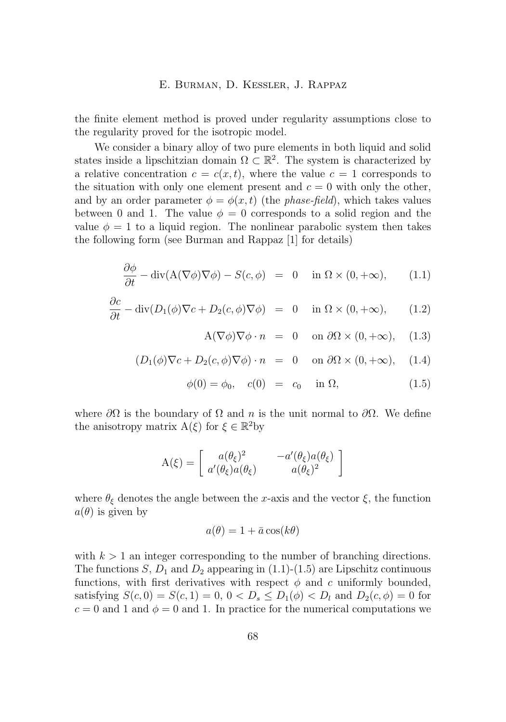<span id="page-2-0"></span>the finite element method is proved under regularity assumptions close to the regularity proved for the isotropic model.

We consider a binary alloy of two pure elements in both liquid and solid states inside a lipschitzian domain  $\Omega \subset \mathbb{R}^2$ . The system is characterized by a relative concentration  $c = c(x, t)$ , where the value  $c = 1$  corresponds to the situation with only one element present and  $c = 0$  with only the other, and by an order parameter  $\phi = \phi(x, t)$  (the *phase-field*), which takes values between 0 and 1. The value  $\phi = 0$  corresponds to a solid region and the value  $\phi = 1$  to a liquid region. The nonlinear parabolic system then takes the following form (see Burman and Rappaz [1] for details)

$$
\frac{\partial \phi}{\partial t} - \operatorname{div}(\mathbf{A}(\nabla \phi) \nabla \phi) - S(c, \phi) = 0 \quad \text{in } \Omega \times (0, +\infty), \qquad (1.1)
$$

$$
\frac{\partial c}{\partial t} - \operatorname{div}(D_1(\phi)\nabla c + D_2(c,\phi)\nabla \phi) = 0 \quad \text{in } \Omega \times (0,+\infty), \qquad (1.2)
$$

$$
A(\nabla \phi) \nabla \phi \cdot n = 0 \quad \text{on } \partial \Omega \times (0, +\infty), \quad (1.3)
$$

$$
(D_1(\phi)\nabla c + D_2(c,\phi)\nabla \phi) \cdot n = 0 \quad \text{on } \partial\Omega \times (0,+\infty), \quad (1.4)
$$

$$
\phi(0) = \phi_0, \quad c(0) = c_0 \quad \text{in } \Omega,
$$
\n(1.5)

where  $\partial\Omega$  is the boundary of  $\Omega$  and n is the unit normal to  $\partial\Omega$ . We define the anisotropy matrix  $A(\xi)$  for  $\xi \in \mathbb{R}^2$  by

$$
A(\xi) = \begin{bmatrix} a(\theta_{\xi})^2 & -a'(\theta_{\xi})a(\theta_{\xi}) \\ a'(\theta_{\xi})a(\theta_{\xi}) & a(\theta_{\xi})^2 \end{bmatrix}
$$

where  $\theta_{\xi}$  denotes the angle between the x-axis and the vector  $\xi$ , the function  $a(\theta)$  is given by

$$
a(\theta) = 1 + \bar{a}\cos(k\theta)
$$

with  $k > 1$  an integer corresponding to the number of branching directions. The functions S,  $D_1$  and  $D_2$  appearing in (1.1)-(1.5) are Lipschitz continuous functions, with first derivatives with respect  $\phi$  and c uniformly bounded, satisfying  $S(c, 0) = S(c, 1) = 0, 0 < D_s \le D_1(\phi) < D_l$  and  $D_2(c, \phi) = 0$  for  $c = 0$  and 1 and  $\phi = 0$  and 1. In practice for the numerical computations we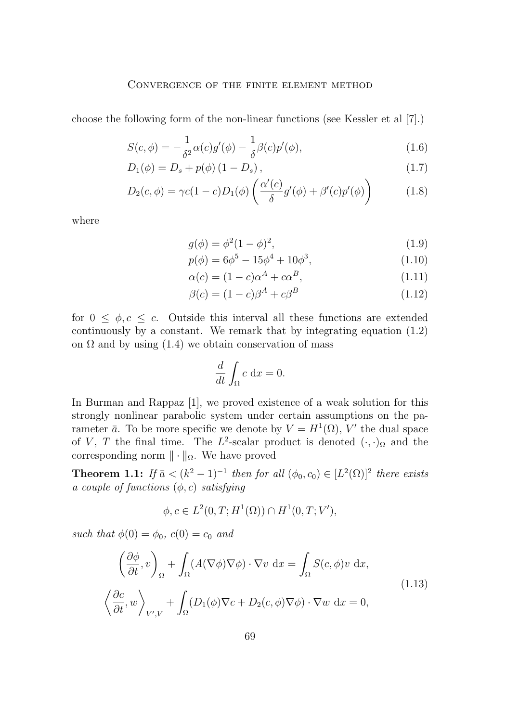#### Convergence of the finite element method

<span id="page-3-0"></span>choose the following form of the non-linear functions (see Kessler et al [7].)

$$
S(c,\phi) = -\frac{1}{\delta^2}\alpha(c)g'(\phi) - \frac{1}{\delta}\beta(c)p'(\phi),\tag{1.6}
$$

$$
D_1(\phi) = D_s + p(\phi) (1 - D_s), \qquad (1.7)
$$

$$
D_2(c,\phi) = \gamma c(1-c)D_1(\phi)\left(\frac{\alpha'(c)}{\delta}g'(\phi) + \beta'(c)p'(\phi)\right)
$$
 (1.8)

where

$$
g(\phi) = \phi^2 (1 - \phi)^2,
$$
\n(1.9)

$$
p(\phi) = 6\phi^5 - 15\phi^4 + 10\phi^3,\tag{1.10}
$$

$$
\alpha(c) = (1 - c)\alpha^A + c\alpha^B,\tag{1.11}
$$

$$
\beta(c) = (1 - c)\beta^A + c\beta^B \tag{1.12}
$$

for  $0 \leq \phi, c \leq c$ . Outside this interval all these functions are extended continuously by a constant. We remark that by integrating equation [\(1.2\)](#page-2-0) on  $\Omega$  and by using [\(1.4\)](#page-2-0) we obtain conservation of mass

$$
\frac{d}{dt} \int_{\Omega} c \, \mathrm{d}x = 0.
$$

In Burman and Rappaz [1], we proved existence of a weak solution for this strongly nonlinear parabolic system under certain assumptions on the parameter  $\bar{a}$ . To be more specific we denote by  $V = H^1(\Omega)$ , V' the dual space of V, T the final time. The  $L^2$ -scalar product is denoted  $(\cdot, \cdot)_{\Omega}$  and the corresponding norm  $\|\cdot\|_{\Omega}$ . We have proved

**Theorem 1.1:** *If*  $\bar{a} < (k^2 - 1)^{-1}$  *then for all*  $(\phi_0, c_0) \in [L^2(\Omega)]^2$  *there exists a couple of functions* (φ, c) *satisfying*

$$
\phi, c \in L^2(0, T; H^1(\Omega)) \cap H^1(0, T; V'),
$$

*such that*  $\phi(0) = \phi_0$ ,  $c(0) = c_0$  *and* 

$$
\left(\frac{\partial \phi}{\partial t}, v\right)_{\Omega} + \int_{\Omega} (A(\nabla \phi) \nabla \phi) \cdot \nabla v \, dx = \int_{\Omega} S(c, \phi) v \, dx,
$$
\n
$$
\left\langle \frac{\partial c}{\partial t}, w \right\rangle_{V', V} + \int_{\Omega} (D_1(\phi) \nabla c + D_2(c, \phi) \nabla \phi) \cdot \nabla w \, dx = 0,
$$
\n(1.13)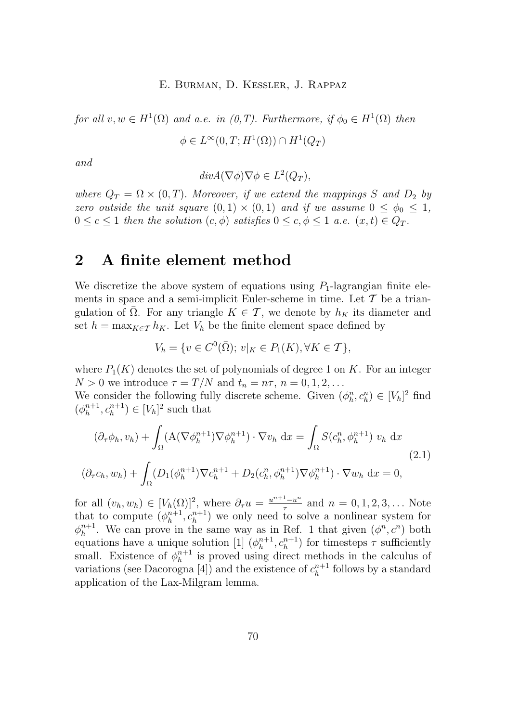<span id="page-4-0"></span>*for all*  $v, w \in H^1(\Omega)$  *and a.e. in (0,T). Furthermore, if*  $\phi_0 \in H^1(\Omega)$  *then*  $\phi \in L^{\infty}(0,T;H^1(\Omega)) \cap H^1(Q_T)$ 

*and*

$$
div A(\nabla \phi) \nabla \phi \in L^2(Q_T),
$$

*where*  $Q_T = \Omega \times (0, T)$ *. Moreover, if we extend the mappings* S and  $D_2$  by *zero outside the unit square*  $(0,1) \times (0,1)$  *and if we assume*  $0 \leq \phi_0 \leq 1$ *,*  $0 \leq c \leq 1$  *then the solution*  $(c, \phi)$  *satisfies*  $0 \leq c, \phi \leq 1$  *a.e.*  $(x, t) \in Q_T$ *.* 

### **2 A finite element method**

We discretize the above system of equations using  $P_1$ -lagrangian finite elements in space and a semi-implicit Euler-scheme in time. Let  $\mathcal T$  be a triangulation of  $\overline{\Omega}$ . For any triangle  $K \in \mathcal{T}$ , we denote by  $h_K$  its diameter and set  $h = \max_{K \in \mathcal{T}} h_K$ . Let  $V_h$  be the finite element space defined by

$$
V_h = \{ v \in C^0(\bar{\Omega}); \, v|_K \in P_1(K), \forall K \in \mathcal{T} \},
$$

where  $P_1(K)$  denotes the set of polynomials of degree 1 on K. For an integer  $N > 0$  we introduce  $\tau = T/N$  and  $t_n = n\tau$ ,  $n = 0, 1, 2, \ldots$ 

We consider the following fully discrete scheme. Given  $(\phi_h^n, c_h^n) \in [V_h]^2$  find  $(\phi_h^{n+1}, c_h^{n+1}) \in [V_h]^2$  such that

$$
(\partial_{\tau}\phi_h, v_h) + \int_{\Omega} (\mathbf{A}(\nabla\phi_h^{n+1})\nabla\phi_h^{n+1}) \cdot \nabla v_h \, dx = \int_{\Omega} S(c_h^n, \phi_h^{n+1}) v_h \, dx
$$
  

$$
(\partial_{\tau}c_h, w_h) + \int_{\Omega} (D_1(\phi_h^{n+1})\nabla c_h^{n+1} + D_2(c_h^n, \phi_h^{n+1})\nabla\phi_h^{n+1}) \cdot \nabla w_h \, dx = 0,
$$
\n(2.1)

for all  $(v_h, w_h) \in [V_h(\Omega)]^2$ , where  $\partial_\tau u = \frac{u^{n+1} - u^n}{\tau}$  $\frac{1-u^n}{\tau}$  and  $n = 0, 1, 2, 3, ...$  Note that to compute  $(\phi_h^{n+1}, c_h^{n+1})$  we only need to solve a nonlinear system for  $\phi_h^{n+1}$ . We can prove in the same way as in Ref. 1 that given  $(\phi^n, c^n)$  both equations have a unique solution [1]  $(\phi_h^{n+1}, c_h^{n+1})$  for timesteps  $\tau$  sufficiently small. Existence of  $\phi_h^{n+1}$  is proved using direct methods in the calculus of variations (see Dacorogna [4]) and the existence of  $c_h^{n+1}$  follows by a standard application of the Lax-Milgram lemma.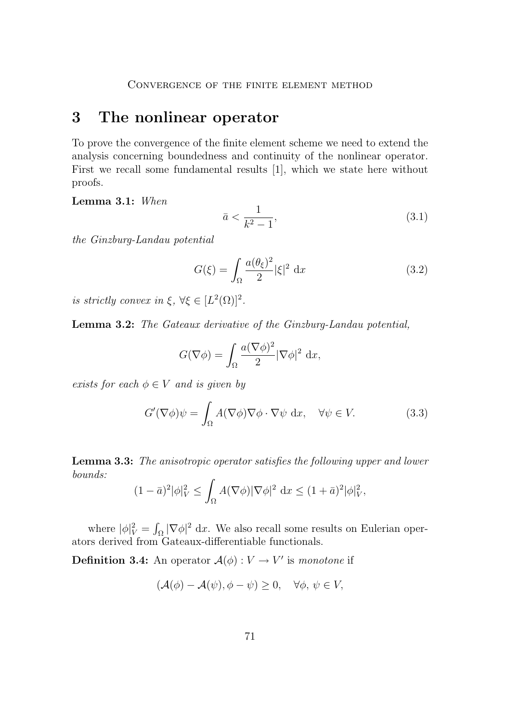### <span id="page-5-0"></span>**3 The nonlinear operator**

To prove the convergence of the finite element scheme we need to extend the analysis concerning boundedness and continuity of the nonlinear operator. First we recall some fundamental results [1], which we state here without proofs.

**Lemma 3.1:** *When*

$$
\bar{a} < \frac{1}{k^2 - 1},\tag{3.1}
$$

*the Ginzburg-Landau potential*

$$
G(\xi) = \int_{\Omega} \frac{a(\theta_{\xi})^2}{2} |\xi|^2 dx
$$
 (3.2)

*is strictly convex in*  $\xi$ ,  $\forall \xi \in [L^2(\Omega)]^2$ *.* 

**Lemma 3.2:** *The Gateaux derivative of the Ginzburg-Landau potential,*

$$
G(\nabla \phi) = \int_{\Omega} \frac{a(\nabla \phi)^2}{2} |\nabla \phi|^2 dx,
$$

*exists for each*  $\phi \in V$  *and is given by* 

$$
G'(\nabla \phi)\psi = \int_{\Omega} A(\nabla \phi)\nabla \phi \cdot \nabla \psi \, dx, \quad \forall \psi \in V. \tag{3.3}
$$

**Lemma 3.3:** *The anisotropic operator satisfies the following upper and lower bounds:*

$$
(1-\bar{a})^2 |\phi|_V^2 \le \int_{\Omega} A(\nabla \phi) |\nabla \phi|^2 dx \le (1+\bar{a})^2 |\phi|_V^2,
$$

where  $|\phi|_V^2 = \int_{\Omega} |\nabla \phi|^2 dx$ . We also recall some results on Eulerian operators derived from Gateaux-differentiable functionals.

**Definition 3.4:** An operator  $\mathcal{A}(\phi): V \to V'$  is *monotone* if

$$
(\mathcal{A}(\phi) - \mathcal{A}(\psi), \phi - \psi) \ge 0, \quad \forall \phi, \psi \in V,
$$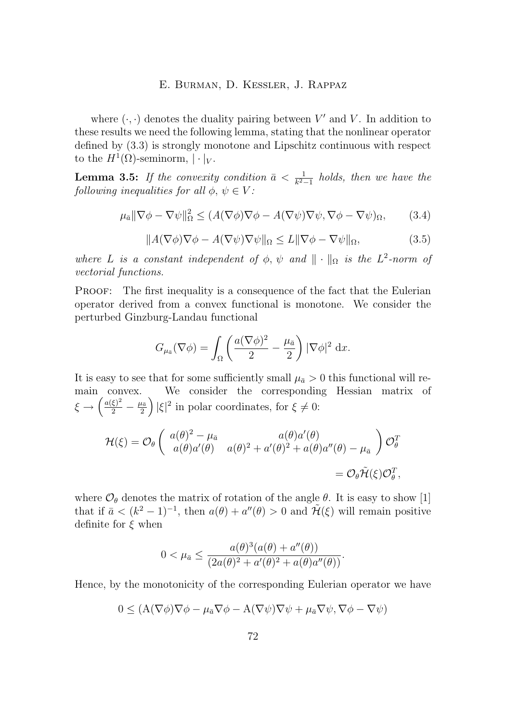<span id="page-6-0"></span>where  $(\cdot, \cdot)$  denotes the duality pairing between V' and V. In addition to these results we need the following lemma, stating that the nonlinear operator defined by [\(3.3\)](#page-5-0) is strongly monotone and Lipschitz continuous with respect to the  $H^1(\Omega)$ -seminorm,  $|\cdot|_V$ .

**Lemma 3.5:** *If the convexity condition*  $\bar{a} < \frac{1}{k^2-1}$  *holds, then we have the following inequalities for all*  $\phi, \psi \in V$ *:* 

$$
\mu_{\bar{a}} \|\nabla \phi - \nabla \psi\|_{\Omega}^2 \le (A(\nabla \phi) \nabla \phi - A(\nabla \psi) \nabla \psi, \nabla \phi - \nabla \psi)_{\Omega},\tag{3.4}
$$

$$
||A(\nabla\phi)\nabla\phi - A(\nabla\psi)\nabla\psi||_{\Omega} \le L||\nabla\phi - \nabla\psi||_{\Omega},
$$
\n(3.5)

*where* L *is a constant independent of*  $\phi$ ,  $\psi$  *and*  $\|\cdot\|_{\Omega}$  *is the* L<sup>2</sup>-norm of *vectorial functions.*

Proof: The first inequality is a consequence of the fact that the Eulerian operator derived from a convex functional is monotone. We consider the perturbed Ginzburg-Landau functional

$$
G_{\mu_{\bar{a}}}(\nabla \phi) = \int_{\Omega} \left( \frac{a(\nabla \phi)^2}{2} - \frac{\mu_{\bar{a}}}{2} \right) |\nabla \phi|^2 dx.
$$

It is easy to see that for some sufficiently small  $\mu_{\bar{a}} > 0$  this functional will remain convex. We consider the corresponding Hessian matrix of  $\xi \to \left(\frac{a(\xi)^2}{2} - \frac{\mu_{\tilde{a}}}{2}\right) |\xi|^2$  in polar coordinates, for  $\xi \neq 0$ :

$$
\mathcal{H}(\xi) = \mathcal{O}_{\theta} \begin{pmatrix} a(\theta)^2 - \mu_{\bar{a}} & a(\theta)a'(\theta) \\ a(\theta)a'(\theta) & a(\theta)^2 + a'(\theta)^2 + a(\theta)a''(\theta) - \mu_{\bar{a}} \end{pmatrix} \mathcal{O}_{\theta}^T
$$

$$
= \mathcal{O}_{\theta} \tilde{\mathcal{H}}(\xi) \mathcal{O}_{\theta}^T,
$$

where  $\mathcal{O}_{\theta}$  denotes the matrix of rotation of the angle  $\theta$ . It is easy to show [1] that if  $\bar{a} < (k^2 - 1)^{-1}$ , then  $a(\theta) + a''(\theta) > 0$  and  $\tilde{\mathcal{H}}(\xi)$  will remain positive definite for  $\xi$  when

$$
0 < \mu_{\bar{a}} \leq \frac{a(\theta)^3(a(\theta) + a''(\theta))}{(2a(\theta)^2 + a'(\theta)^2 + a(\theta)a''(\theta))}.
$$

Hence, by the monotonicity of the corresponding Eulerian operator we have

$$
0 \le (A(\nabla \phi) \nabla \phi - \mu_{\bar{a}} \nabla \phi - A(\nabla \psi) \nabla \psi + \mu_{\bar{a}} \nabla \psi, \nabla \phi - \nabla \psi)
$$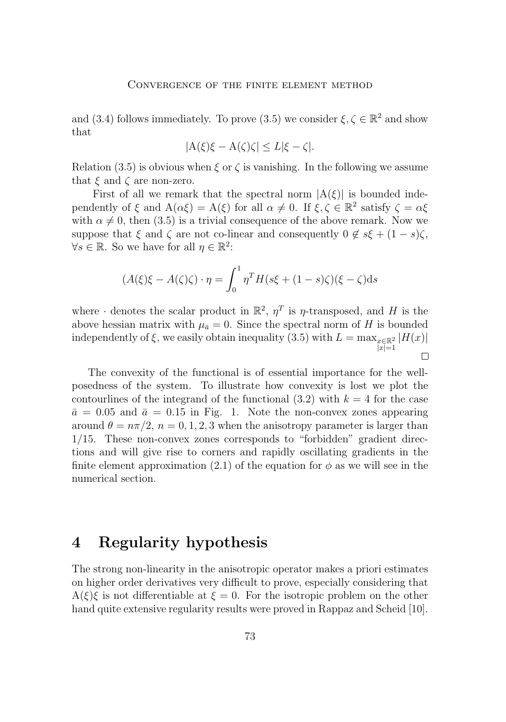and [\(3.4\)](#page-6-0) follows immediately. To prove [\(3.5\)](#page-6-0) we consider  $\xi, \zeta \in \mathbb{R}^2$  and show that

$$
|\mathcal{A}(\xi)\xi - \mathcal{A}(\zeta)\zeta| \le L|\xi - \zeta|.
$$

Relation [\(3.5\)](#page-6-0) is obvious when  $\xi$  or  $\zeta$  is vanishing. In the following we assume that  $\xi$  and  $\zeta$  are non-zero.

First of all we remark that the spectral norm  $|A(\xi)|$  is bounded independently of  $\xi$  and  $A(\alpha \xi) = A(\xi)$  for all  $\alpha \neq 0$ . If  $\xi, \zeta \in \mathbb{R}^2$  satisfy  $\zeta = \alpha \xi$ with  $\alpha \neq 0$ , then [\(3.5\)](#page-6-0) is a trivial consequence of the above remark. Now we suppose that  $\xi$  and  $\zeta$  are not co-linear and consequently  $0 \notin s\xi + (1-s)\zeta$ ,  $\forall s \in \mathbb{R}$ . So we have for all  $\eta \in \mathbb{R}^2$ :

$$
(A(\xi)\xi - A(\zeta)\zeta) \cdot \eta = \int_0^1 \eta^T H(s\xi + (1-s)\zeta)(\xi - \zeta) \mathrm{d}s
$$

where  $\cdot$  denotes the scalar product in  $\mathbb{R}^2$ ,  $\eta^T$  is  $\eta$ -transposed, and H is the above hessian matrix with  $\mu_{\bar{a}} = 0$ . Since the spectral norm of H is bounded independently of  $\xi$ , we easily obtain inequality [\(3.5\)](#page-6-0) with  $L = \max_{x \in \mathbb{R}^2} |H(x)|$  $|x|=1$  $\Box$ 

The convexity of the functional is of essential importance for the wellposedness of the system. To illustrate how convexity is lost we plot the contourlines of the integrand of the functional  $(3.2)$  with  $k = 4$  for the case  $\bar{a} = 0.05$  and  $\bar{a} = 0.15$  in Fig. [1.](#page-8-0) Note the non-convex zones appearing around  $\theta = n\pi/2$ ,  $n = 0, 1, 2, 3$  when the anisotropy parameter is larger than 1/15. These non-convex zones corresponds to "forbidden" gradient directions and will give rise to corners and rapidly oscillating gradients in the finite element approximation [\(2.1\)](#page-4-0) of the equation for  $\phi$  as we will see in the numerical section.

### **4 Regularity hypothesis**

The strong non-linearity in the anisotropic operator makes a priori estimates on higher order derivatives very difficult to prove, especially considering that  $A(\xi)\xi$  is not differentiable at  $\xi = 0$ . For the isotropic problem on the other hand quite extensive regularity results were proved in Rappaz and Scheid [10].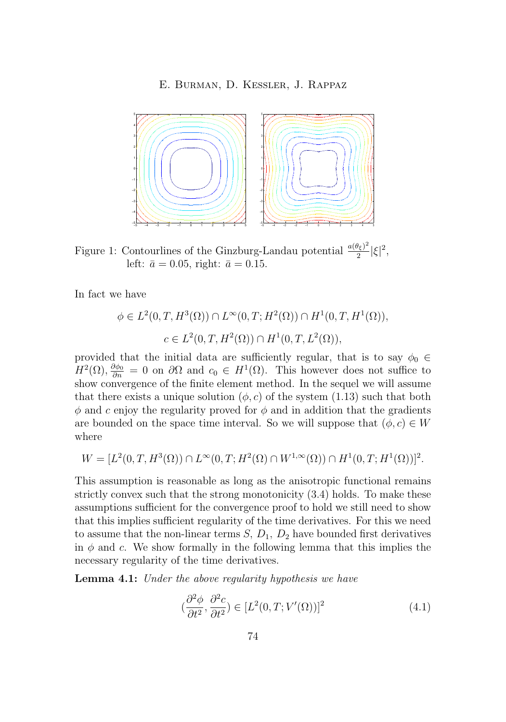<span id="page-8-0"></span>

Figure 1: Contourlines of the Ginzburg-Landau potential  $\frac{a(\theta_{\xi})^2}{2}$  $\frac{\theta_{\xi})^2}{2} |\xi|^2,$ left:  $\bar{a} = 0.05$ , right:  $\bar{a} = 0.15$ .

In fact we have

$$
\phi \in L^2(0, T, H^3(\Omega)) \cap L^\infty(0, T; H^2(\Omega)) \cap H^1(0, T, H^1(\Omega)),
$$
  

$$
c \in L^2(0, T, H^2(\Omega)) \cap H^1(0, T, L^2(\Omega)),
$$

provided that the initial data are sufficiently regular, that is to say  $\phi_0 \in$  $H^2(\Omega)$ ,  $\frac{\partial \phi_0}{\partial n} = 0$  on  $\partial \Omega$  and  $c_0 \in H^1(\Omega)$ . This however does not suffice to show convergence of the finite element method. In the sequel we will assume that there exists a unique solution  $(\phi, c)$  of the system [\(1.13\)](#page-3-0) such that both  $\phi$  and c enjoy the regularity proved for  $\phi$  and in addition that the gradients are bounded on the space time interval. So we will suppose that  $(\phi, c) \in W$ where

$$
W = [L^{2}(0,T, H^{3}(\Omega)) \cap L^{\infty}(0,T; H^{2}(\Omega) \cap W^{1,\infty}(\Omega)) \cap H^{1}(0,T; H^{1}(\Omega))]^{2}.
$$

This assumption is reasonable as long as the anisotropic functional remains strictly convex such that the strong monotonicity [\(3.4\)](#page-6-0) holds. To make these assumptions sufficient for the convergence proof to hold we still need to show that this implies sufficient regularity of the time derivatives. For this we need to assume that the non-linear terms  $S, D_1, D_2$  have bounded first derivatives in  $\phi$  and c. We show formally in the following lemma that this implies the necessary regularity of the time derivatives.

**Lemma 4.1:** *Under the above regularity hypothesis we have*

$$
(\frac{\partial^2 \phi}{\partial t^2}, \frac{\partial^2 c}{\partial t^2}) \in [L^2(0, T; V'(\Omega))]^2
$$
\n(4.1)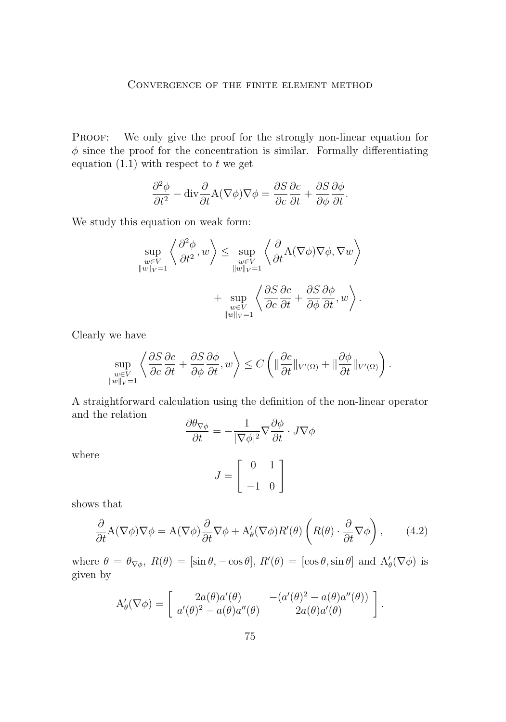#### Convergence of the finite element method

<span id="page-9-0"></span>PROOF: We only give the proof for the strongly non-linear equation for  $\phi$  since the proof for the concentration is similar. Formally differentiating equation  $(1.1)$  with respect to t we get

$$
\frac{\partial^2 \phi}{\partial t^2} - \text{div} \frac{\partial}{\partial t} A(\nabla \phi) \nabla \phi = \frac{\partial S}{\partial c} \frac{\partial c}{\partial t} + \frac{\partial S}{\partial \phi} \frac{\partial \phi}{\partial t}.
$$

We study this equation on weak form:

$$
\sup_{\substack{w \in V \\ ||w||_{V}=1}} \left\langle \frac{\partial^2 \phi}{\partial t^2}, w \right\rangle \le \sup_{\substack{w \in V \\ ||w||_{V}=1}} \left\langle \frac{\partial}{\partial t} A(\nabla \phi) \nabla \phi, \nabla w \right\rangle + \sup_{\substack{w \in V \\ ||w||_{V}=1}} \left\langle \frac{\partial S}{\partial c} \frac{\partial c}{\partial t} + \frac{\partial S}{\partial \phi} \frac{\partial \phi}{\partial t}, w \right\rangle.
$$

Clearly we have

$$
\sup_{\substack{w\in V\\||w||_V=1}}\left\langle \frac{\partial S}{\partial c}\frac{\partial c}{\partial t}+\frac{\partial S}{\partial \phi}\frac{\partial \phi}{\partial t},w\right\rangle\leq C\left(\|\frac{\partial c}{\partial t}\|_{V'(\Omega)}+\|\frac{\partial \phi}{\partial t}\|_{V'(\Omega)}\right).
$$

A straightforward calculation using the definition of the non-linear operator and the relation

$$
\frac{\partial \theta_{\nabla \phi}}{\partial t} = -\frac{1}{|\nabla \phi|^2} \nabla \frac{\partial \phi}{\partial t} \cdot J \nabla \phi
$$

$$
J = \begin{bmatrix} 0 & 1 \\ -1 & 0 \end{bmatrix}
$$

where

shows that

$$
\frac{\partial}{\partial t} A(\nabla \phi) \nabla \phi = A(\nabla \phi) \frac{\partial}{\partial t} \nabla \phi + A'_{\theta} (\nabla \phi) R'(\theta) \left( R(\theta) \cdot \frac{\partial}{\partial t} \nabla \phi \right), \quad (4.2)
$$

where  $\theta = \theta_{\nabla \phi}$ ,  $R(\theta) = [\sin \theta, -\cos \theta], R'(\theta) = [\cos \theta, \sin \theta]$  and  $A'_{\theta}(\nabla \phi)$  is given by

$$
A'_{\theta}(\nabla \phi) = \begin{bmatrix} 2a(\theta)a'(\theta) & -(a'(\theta)^2 - a(\theta)a''(\theta)) \\ a'(\theta)^2 - a(\theta)a''(\theta) & 2a(\theta)a'(\theta) \end{bmatrix}.
$$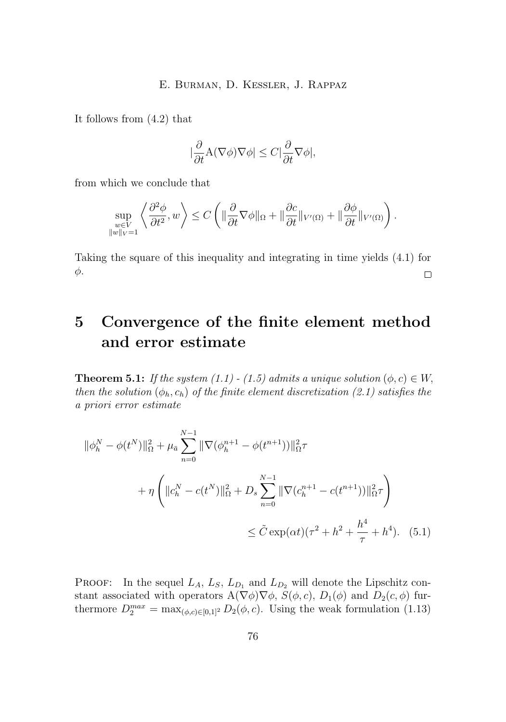<span id="page-10-0"></span>It follows from [\(4.2\)](#page-9-0) that

$$
|\frac{\partial}{\partial t} \mathbf{A}(\nabla \phi) \nabla \phi| \leq C |\frac{\partial}{\partial t} \nabla \phi|,
$$

from which we conclude that

$$
\sup_{\substack{w\in V\\||w||_V=1}}\left\langle \frac{\partial^2 \phi}{\partial t^2}, w \right\rangle \leq C \left( \|\frac{\partial}{\partial t} \nabla \phi\|_{\Omega} + \|\frac{\partial c}{\partial t}\|_{V'(\Omega)} + \|\frac{\partial \phi}{\partial t}\|_{V'(\Omega)} \right).
$$

Taking the square of this inequality and integrating in time yields [\(4.1\)](#page-8-0) for φ.  $\Box$ 

# **5 Convergence of the finite element method and error estimate**

**Theorem 5.1:** *If the system* [\(1.1\)](#page-2-0) *-* [\(1.5\)](#page-2-0) *admits a unique solution*  $(\phi, c) \in W$ , *then the solution*  $(\phi_h, c_h)$  *of the finite element discretization* [\(2.1\)](#page-4-0) *satisfies the a priori error estimate*

$$
\|\phi_h^N - \phi(t^N)\|_{\Omega}^2 + \mu_{\bar{a}} \sum_{n=0}^{N-1} \|\nabla(\phi_h^{n+1} - \phi(t^{n+1}))\|_{\Omega}^2 \tau
$$
  
+ 
$$
\eta \left( \|c_h^N - c(t^N)\|_{\Omega}^2 + D_s \sum_{n=0}^{N-1} \|\nabla(c_h^{n+1} - c(t^{n+1}))\|_{\Omega}^2 \tau \right)
$$
  

$$
\leq \tilde{C} \exp(\alpha t) (\tau^2 + h^2 + \frac{h^4}{\tau} + h^4). \quad (5.1)
$$

**PROOF:** In the sequel  $L_A$ ,  $L_S$ ,  $L_{D_1}$  and  $L_{D_2}$  will denote the Lipschitz constant associated with operators  $A(\nabla \phi) \nabla \phi$ ,  $S(\phi, c)$ ,  $D_1(\phi)$  and  $D_2(c, \phi)$  furthermore  $D_2^{max} = \max_{(\phi, c) \in [0, 1]^2} D_2(\phi, c)$ . Using the weak formulation [\(1.13\)](#page-3-0)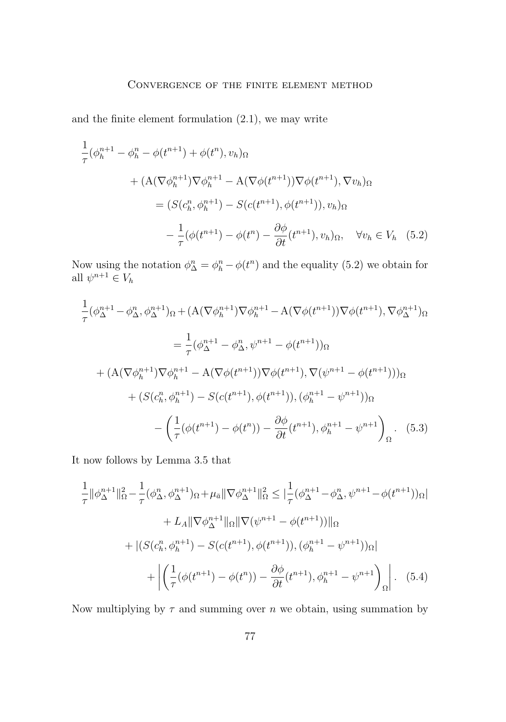and the finite element formulation [\(2.1\)](#page-4-0), we may write

$$
\frac{1}{\tau}(\phi_h^{n+1} - \phi_h^n - \phi(t^{n+1}) + \phi(t^n), v_h)_{\Omega} \n+ (A(\nabla \phi_h^{n+1}) \nabla \phi_h^{n+1} - A(\nabla \phi(t^{n+1})) \nabla \phi(t^{n+1}), \nabla v_h)_{\Omega} \n= (S(c_h^n, \phi_h^{n+1}) - S(c(t^{n+1}), \phi(t^{n+1})), v_h)_{\Omega} \n- \frac{1}{\tau}(\phi(t^{n+1}) - \phi(t^n) - \frac{\partial \phi}{\partial t}(t^{n+1}), v_h)_{\Omega}, \quad \forall v_h \in V_h \quad (5.2)
$$

Now using the notation  $\phi_{\Delta}^n = \phi_h^n - \phi(t^n)$  and the equality (5.2) we obtain for all  $\psi^{n+1} \in V_h$ 

$$
\frac{1}{\tau}(\phi_{\Delta}^{n+1} - \phi_{\Delta}^{n}, \phi_{\Delta}^{n+1})_{\Omega} + (A(\nabla \phi_{h}^{n+1})\nabla \phi_{h}^{n+1} - A(\nabla \phi(t^{n+1}))\nabla \phi(t^{n+1}), \nabla \phi_{\Delta}^{n+1})_{\Omega}
$$
\n
$$
= \frac{1}{\tau}(\phi_{\Delta}^{n+1} - \phi_{\Delta}^{n}, \psi^{n+1} - \phi(t^{n+1}))_{\Omega}
$$
\n
$$
+ (A(\nabla \phi_{h}^{n+1})\nabla \phi_{h}^{n+1} - A(\nabla \phi(t^{n+1}))\nabla \phi(t^{n+1}), \nabla (\psi^{n+1} - \phi(t^{n+1})))_{\Omega}
$$
\n
$$
+ (S(c_{h}^{n}, \phi_{h}^{n+1}) - S(c(t^{n+1}), \phi(t^{n+1})), (\phi_{h}^{n+1} - \psi^{n+1}))_{\Omega}
$$
\n
$$
- \left(\frac{1}{\tau}(\phi(t^{n+1}) - \phi(t^{n})) - \frac{\partial \phi}{\partial t}(t^{n+1}), \phi_{h}^{n+1} - \psi^{n+1}\right)_{\Omega}. \quad (5.3)
$$

It now follows by Lemma [3.5](#page-6-0) that

$$
\frac{1}{\tau} \|\phi_{\Delta}^{n+1}\|_{\Omega}^{2} - \frac{1}{\tau}(\phi_{\Delta}^{n}, \phi_{\Delta}^{n+1})_{\Omega} + \mu_{\bar{a}} \|\nabla \phi_{\Delta}^{n+1}\|_{\Omega}^{2} \leq |\frac{1}{\tau}(\phi_{\Delta}^{n+1} - \phi_{\Delta}^{n}, \psi^{n+1} - \phi(t^{n+1}))_{\Omega}|
$$
\n
$$
+ L_{A} \|\nabla \phi_{\Delta}^{n+1}\|_{\Omega} \|\nabla (\psi^{n+1} - \phi(t^{n+1}))\|_{\Omega}
$$
\n
$$
+ |(S(c_{h}^{n}, \phi_{h}^{n+1}) - S(c(t^{n+1}), \phi(t^{n+1})), (\phi_{h}^{n+1} - \psi^{n+1}))_{\Omega}|
$$
\n
$$
+ \left| \left(\frac{1}{\tau}(\phi(t^{n+1}) - \phi(t^{n})) - \frac{\partial \phi}{\partial t}(t^{n+1}), \phi_{h}^{n+1} - \psi^{n+1}\right)_{\Omega}\right|.
$$
\n(5.4)

Now multiplying by  $\tau$  and summing over  $n$  we obtain, using summation by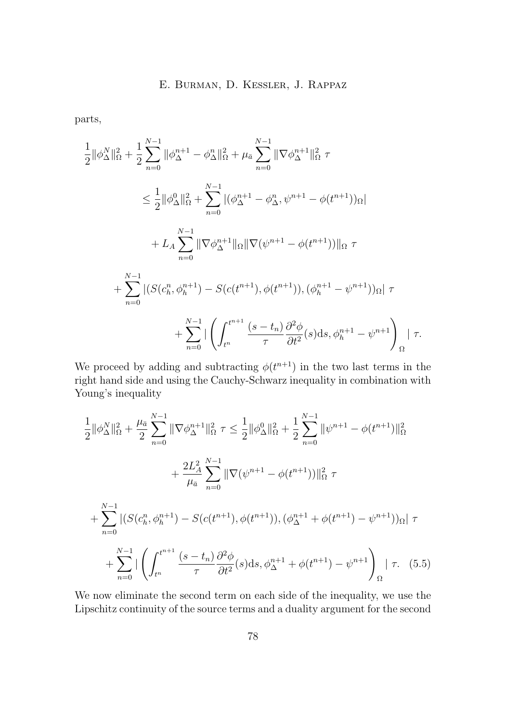<span id="page-12-0"></span>parts,

$$
\frac{1}{2} ||\phi_{\Delta}^{N}||_{\Omega}^{2} + \frac{1}{2} \sum_{n=0}^{N-1} ||\phi_{\Delta}^{n+1} - \phi_{\Delta}^{n}||_{\Omega}^{2} + \mu_{\overline{a}} \sum_{n=0}^{N-1} ||\nabla \phi_{\Delta}^{n+1}||_{\Omega}^{2} \tau
$$
\n
$$
\leq \frac{1}{2} ||\phi_{\Delta}^{0}||_{\Omega}^{2} + \sum_{n=0}^{N-1} |(\phi_{\Delta}^{n+1} - \phi_{\Delta}^{n}, \psi^{n+1} - \phi(t^{n+1}))_{\Omega}|
$$
\n
$$
+ L_{A} \sum_{n=0}^{N-1} ||\nabla \phi_{\Delta}^{n+1}||_{\Omega} ||\nabla (\psi^{n+1} - \phi(t^{n+1}))||_{\Omega} \tau
$$
\n
$$
+ \sum_{n=0}^{N-1} |(S(c_{h}^{n}, \phi_{h}^{n+1}) - S(c(t^{n+1}), \phi(t^{n+1})), (\phi_{h}^{n+1} - \psi^{n+1}))_{\Omega}| \tau
$$
\n
$$
+ \sum_{n=0}^{N-1} |\left(\int_{t^{n}}^{t^{n+1}} \frac{(s - t_{n})}{\tau} \frac{\partial^{2} \phi}{\partial t^{2}}(s) ds, \phi_{h}^{n+1} - \psi^{n+1}\right)_{\Omega}| \tau
$$

We proceed by adding and subtracting  $\phi(t^{n+1})$  in the two last terms in the right hand side and using the Cauchy-Schwarz inequality in combination with Young's inequality

$$
\frac{1}{2} ||\phi_{\Delta}^{N}||_{\Omega}^{2} + \frac{\mu_{\bar{a}}}{2} \sum_{n=0}^{N-1} ||\nabla \phi_{\Delta}^{n+1}||_{\Omega}^{2} \tau \leq \frac{1}{2} ||\phi_{\Delta}^{0}||_{\Omega}^{2} + \frac{1}{2} \sum_{n=0}^{N-1} ||\psi^{n+1} - \phi(t^{n+1})||_{\Omega}^{2} \n+ \frac{2L_{A}^{2}}{\mu_{\bar{a}}} \sum_{n=0}^{N-1} ||\nabla (\psi^{n+1} - \phi(t^{n+1}))||_{\Omega}^{2} \tau \n+ \sum_{n=0}^{N-1} |(S(c_{h}^{n}, \phi_{h}^{n+1}) - S(c(t^{n+1}), \phi(t^{n+1})), (\phi_{\Delta}^{n+1} + \phi(t^{n+1}) - \psi^{n+1}))_{\Omega}| \tau \n+ \sum_{n=0}^{N-1} |\left( \int_{t^{n}}^{t^{n+1}} \frac{(s - t_{n})}{\tau} \frac{\partial^{2} \phi}{\partial t^{2}}(s) ds, \phi_{\Delta}^{n+1} + \phi(t^{n+1}) - \psi^{n+1} \right)_{\Omega}| \tau. (5.5)
$$

We now eliminate the second term on each side of the inequality, we use the Lipschitz continuity of the source terms and a duality argument for the second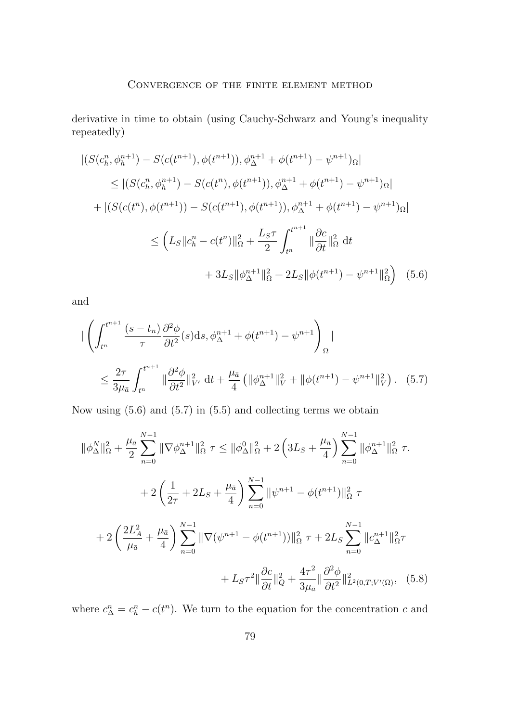#### Convergence of the finite element method

<span id="page-13-0"></span>derivative in time to obtain (using Cauchy-Schwarz and Young's inequality repeatedly)

$$
|(S(c_h^n, \phi_h^{n+1}) - S(c(t^{n+1}), \phi(t^{n+1})), \phi_\Delta^{n+1} + \phi(t^{n+1}) - \psi^{n+1})\Omega|
$$
  
\n
$$
\leq |(S(c_h^n, \phi_h^{n+1}) - S(c(t^n), \phi(t^{n+1})), \phi_\Delta^{n+1} + \phi(t^{n+1}) - \psi^{n+1})\Omega|
$$
  
\n
$$
+ |(S(c(t^n), \phi(t^{n+1})) - S(c(t^{n+1}), \phi(t^{n+1})), \phi_\Delta^{n+1} + \phi(t^{n+1}) - \psi^{n+1})\Omega|
$$
  
\n
$$
\leq \left(L_S || c_h^n - c(t^n) ||_\Omega^2 + \frac{L_S \tau}{2} \int_{t^n}^{t^{n+1}} ||\frac{\partial c}{\partial t} ||_\Omega^2 dt
$$
  
\n
$$
+ 3L_S ||\phi_\Delta^{n+1}||_\Omega^2 + 2L_S ||\phi(t^{n+1}) - \psi^{n+1}||_\Omega^2 \right) (5.6)
$$

and

$$
\begin{split}\n\left| \left( \int_{t^n}^{t^{n+1}} \frac{(s - t_n)}{\tau} \frac{\partial^2 \phi}{\partial t^2} (s) \, \mathrm{d}s, \phi_{\Delta}^{n+1} + \phi(t^{n+1}) - \psi^{n+1} \right)_{\Omega} \right| \\
&\leq \frac{2\tau}{3\mu_{\bar{a}}} \int_{t^n}^{t^{n+1}} \|\frac{\partial^2 \phi}{\partial t^2}\|_{V'}^2 \, \mathrm{d}t + \frac{\mu_{\bar{a}}}{4} \left( \|\phi_{\Delta}^{n+1}\|_{V}^2 + \|\phi(t^{n+1}) - \psi^{n+1}\|_{V}^2 \right). \tag{5.7}\n\end{split}
$$

Now using (5.6) and (5.7) in [\(5.5\)](#page-12-0) and collecting terms we obtain

$$
\|\phi_{\Delta}^{N}\|_{\Omega}^{2} + \frac{\mu_{\bar{a}}}{2} \sum_{n=0}^{N-1} \|\nabla \phi_{\Delta}^{n+1}\|_{\Omega}^{2} \tau \leq \|\phi_{\Delta}^{0}\|_{\Omega}^{2} + 2\left(3L_{S} + \frac{\mu_{\bar{a}}}{4}\right) \sum_{n=0}^{N-1} \|\phi_{\Delta}^{n+1}\|_{\Omega}^{2} \tau
$$
  
+ 
$$
2\left(\frac{1}{2\tau} + 2L_{S} + \frac{\mu_{\bar{a}}}{4}\right) \sum_{n=0}^{N-1} \|\psi^{n+1} - \phi(t^{n+1})\|_{\Omega}^{2} \tau
$$
  
+ 
$$
2\left(\frac{2L_{A}^{2}}{\mu_{\bar{a}}} + \frac{\mu_{\bar{a}}}{4}\right) \sum_{n=0}^{N-1} \|\nabla (\psi^{n+1} - \phi(t^{n+1}))\|_{\Omega}^{2} \tau + 2L_{S} \sum_{n=0}^{N-1} \|c_{\Delta}^{n+1}\|_{\Omega}^{2} \tau
$$
  
+ 
$$
L_{S}\tau^{2} \|\frac{\partial c}{\partial t}\|_{Q}^{2} + \frac{4\tau^{2}}{3\mu_{\bar{a}}}\|\frac{\partial^{2} \phi}{\partial t^{2}}\|_{L^{2}(0,T;V'(\Omega)}^{2}, \quad (5.8)
$$

where  $c_{\Delta}^{n} = c_{h}^{n} - c(t^{n})$ . We turn to the equation for the concentration c and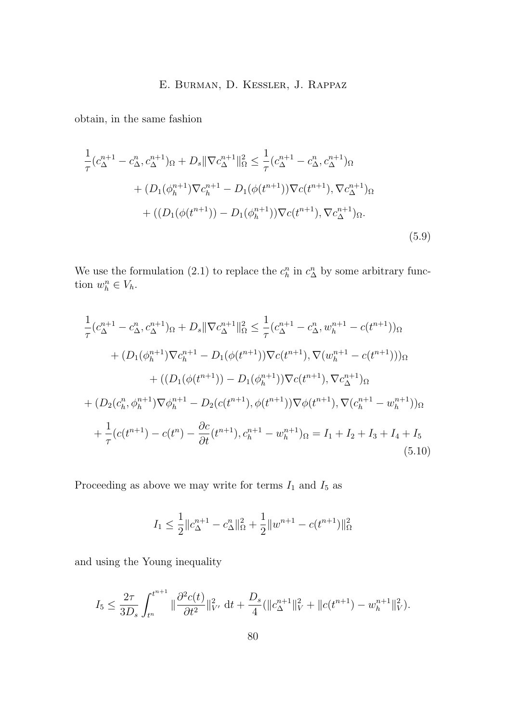<span id="page-14-0"></span>obtain, in the same fashion

$$
\frac{1}{\tau} (c_{\Delta}^{n+1} - c_{\Delta}^{n}, c_{\Delta}^{n+1})_{\Omega} + D_s \|\nabla c_{\Delta}^{n+1}\|_{\Omega}^2 \le \frac{1}{\tau} (c_{\Delta}^{n+1} - c_{\Delta}^{n}, c_{\Delta}^{n+1})_{\Omega} \n+ (D_1(\phi_h^{n+1}) \nabla c_h^{n+1} - D_1(\phi(t^{n+1})) \nabla c(t^{n+1}), \nabla c_{\Delta}^{n+1})_{\Omega} \n+ ((D_1(\phi(t^{n+1})) - D_1(\phi_h^{n+1})) \nabla c(t^{n+1}), \nabla c_{\Delta}^{n+1})_{\Omega}.
$$
\n(5.9)

We use the formulation [\(2.1\)](#page-4-0) to replace the  $c_h^n$  in  $c_\Delta^n$  by some arbitrary function  $w_h^n \in V_h$ .

$$
\frac{1}{\tau} (c_{\Delta}^{n+1} - c_{\Delta}^{n}, c_{\Delta}^{n+1})_{\Omega} + D_{s} \|\nabla c_{\Delta}^{n+1}\|_{\Omega}^{2} \leq \frac{1}{\tau} (c_{\Delta}^{n+1} - c_{\Delta}^{n}, w_{h}^{n+1} - c(t^{n+1}))_{\Omega} \n+ (D_{1}(\phi_{h}^{n+1}) \nabla c_{h}^{n+1} - D_{1}(\phi(t^{n+1})) \nabla c(t^{n+1}), \nabla (w_{h}^{n+1} - c(t^{n+1})))_{\Omega} \n+ ((D_{1}(\phi(t^{n+1})) - D_{1}(\phi_{h}^{n+1})) \nabla c(t^{n+1}), \nabla c_{\Delta}^{n+1})_{\Omega} \n+ (D_{2}(c_{h}^{n}, \phi_{h}^{n+1}) \nabla \phi_{h}^{n+1} - D_{2}(c(t^{n+1}), \phi(t^{n+1})) \nabla \phi(t^{n+1}), \nabla (c_{h}^{n+1} - w_{h}^{n+1}))_{\Omega} \n+ \frac{1}{\tau} (c(t^{n+1}) - c(t^{n}) - \frac{\partial c}{\partial t} (t^{n+1}), c_{h}^{n+1} - w_{h}^{n+1})_{\Omega} = I_{1} + I_{2} + I_{3} + I_{4} + I_{5}
$$
\n(5.10)

Proceeding as above we may write for terms  ${\cal I}_1$  and  ${\cal I}_5$  as

$$
I_1 \le \frac{1}{2} \|c_{\Delta}^{n+1} - c_{\Delta}^n\|_{\Omega}^2 + \frac{1}{2} \|w^{n+1} - c(t^{n+1})\|_{\Omega}^2
$$

and using the Young inequality

$$
I_5 \leq \frac{2\tau}{3D_s} \int_{t^n}^{t^{n+1}} \|\frac{\partial^2 c(t)}{\partial t^2}\|_{V'}^2 \, \mathrm{d}t + \frac{D_s}{4} (\|c_{\Delta}^{n+1}\|_V^2 + \|c(t^{n+1}) - w_h^{n+1}\|_V^2).
$$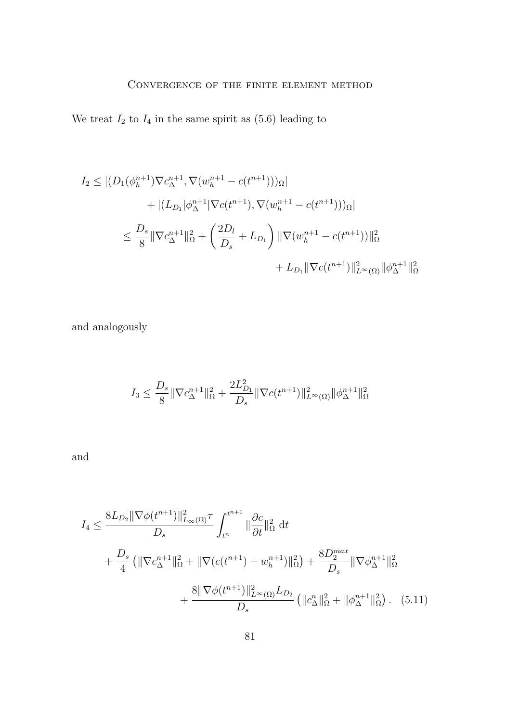### Convergence of the finite element method

We treat  $I_2$  to  $I_4$  in the same spirit as [\(5.6\)](#page-13-0) leading to

$$
I_2 \leq |(D_1(\phi_h^{n+1})\nabla c_{\Delta}^{n+1}, \nabla(w_h^{n+1} - c(t^{n+1})))_{\Omega}|
$$
  
+ 
$$
| (L_{D_1}|\phi_{\Delta}^{n+1}|\nabla c(t^{n+1}), \nabla(w_h^{n+1} - c(t^{n+1})))_{\Omega}|
$$
  

$$
\leq \frac{D_s}{8} \|\nabla c_{\Delta}^{n+1}\|_{\Omega}^2 + \left(\frac{2D_l}{D_s} + L_{D_1}\right) \|\nabla(w_h^{n+1} - c(t^{n+1}))\|_{\Omega}^2
$$
  
+ 
$$
L_{D_1} \|\nabla c(t^{n+1})\|_{L^{\infty}(\Omega)}^2 \|\phi_{\Delta}^{n+1}\|_{\Omega}^2
$$

and analogously

$$
I_3 \leq \frac{D_s}{8} \|\nabla c_{\Delta}^{n+1}\|_{\Omega}^2 + \frac{2L_{D_1}^2}{D_s} \|\nabla c(t^{n+1})\|_{L^{\infty}(\Omega)}^2 \|\phi_{\Delta}^{n+1}\|_{\Omega}^2
$$

and

$$
I_4 \leq \frac{8L_{D_2} \|\nabla \phi(t^{n+1})\|_{L_{\infty}(\Omega)}^2 \tau}{D_s} \int_{t^n}^{t^{n+1}} \|\frac{\partial c}{\partial t}\|_{\Omega}^2 dt + \frac{D_s}{4} \left( \|\nabla c_{\Delta}^{n+1}\|_{\Omega}^2 + \|\nabla (c(t^{n+1}) - w_h^{n+1})\|_{\Omega}^2 \right) + \frac{8D_2^{max}}{D_s} \|\nabla \phi_{\Delta}^{n+1}\|_{\Omega}^2 + \frac{8 \|\nabla \phi(t^{n+1})\|_{L^{\infty}(\Omega)}^2 L_{D_2}}{D_s} \left( \|c_{\Delta}^n\|_{\Omega}^2 + \|\phi_{\Delta}^{n+1}\|_{\Omega}^2 \right). (5.11)
$$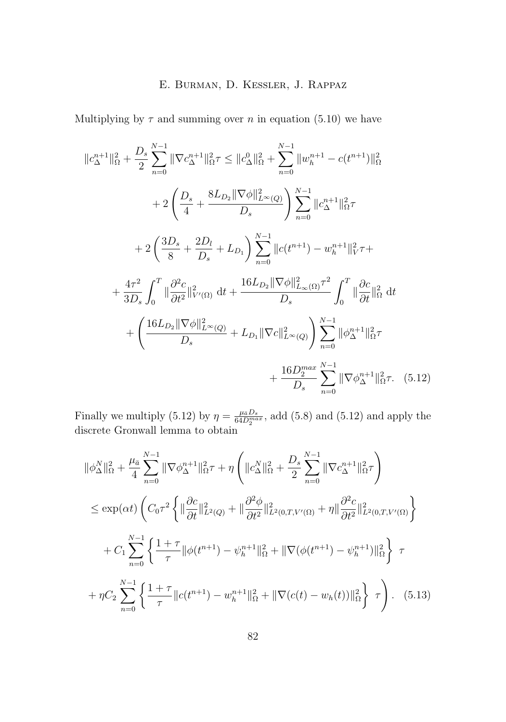Multiplying by  $\tau$  and summing over n in equation [\(5.10\)](#page-14-0) we have

$$
||c_{\Delta}^{n+1}||_{\Omega}^{2} + \frac{D_{s}}{2} \sum_{n=0}^{N-1} ||\nabla c_{\Delta}^{n+1}||_{\Omega}^{2} \tau \leq ||c_{\Delta}^{0}||_{\Omega}^{2} + \sum_{n=0}^{N-1} ||w_{h}^{n+1} - c(t^{n+1})||_{\Omega}^{2}
$$
  
+ 
$$
2\left(\frac{D_{s}}{4} + \frac{8L_{D_{2}} ||\nabla \phi||_{L^{\infty}(Q)}^{2}}{D_{s}}\right) \sum_{n=0}^{N-1} ||c_{\Delta}^{n+1}||_{\Omega}^{2} \tau
$$
  
+ 
$$
2\left(\frac{3D_{s}}{8} + \frac{2D_{l}}{D_{s}} + L_{D_{1}}\right) \sum_{n=0}^{N-1} ||c(t^{n+1}) - w_{h}^{n+1}||_{V}^{2} \tau +
$$
  
+ 
$$
\frac{4\tau^{2}}{3D_{s}} \int_{0}^{T} ||\frac{\partial^{2}c}{\partial t^{2}}||_{V'(\Omega)}^{2} dt + \frac{16L_{D_{2}} ||\nabla \phi||_{L^{\infty}(\Omega)}^{2} \tau^{2}}{D_{s}} \int_{0}^{T} ||\frac{\partial c}{\partial t}||_{\Omega}^{2} dt
$$
  
+ 
$$
\left(\frac{16L_{D_{2}} ||\nabla \phi||_{L^{\infty}(Q)}^{2}}{D_{s}} + L_{D_{1}} ||\nabla c||_{L^{\infty}(Q)}^{2}\right) \sum_{n=0}^{N-1} ||\phi_{\Delta}^{n+1}||_{\Omega}^{2} \tau
$$
  
+ 
$$
\frac{16D_{2}^{max}}{D_{s}} \sum_{n=0}^{N-1} ||\nabla \phi_{\Delta}^{n+1}||_{\Omega}^{2} \tau.
$$
 (5.12)

Finally we multiply (5.12) by  $\eta = \frac{\mu_{\bar{a}} D_s}{64 D_2^{max}}$ , add [\(5.8\)](#page-13-0) and (5.12) and apply the discrete Gronwall lemma to obtain

$$
\|\phi_{\Delta}^{N}\|_{\Omega}^{2} + \frac{\mu_{\bar{a}}}{4} \sum_{n=0}^{N-1} \|\nabla \phi_{\Delta}^{n+1}\|_{\Omega}^{2} \tau + \eta \left( \|c_{\Delta}^{N}\|_{\Omega}^{2} + \frac{D_{s}}{2} \sum_{n=0}^{N-1} \|\nabla c_{\Delta}^{n+1}\|_{\Omega}^{2} \tau \right)
$$
  
\n
$$
\leq \exp(\alpha t) \left( C_{0} \tau^{2} \left\{ \|\frac{\partial c}{\partial t}\|_{L^{2}(Q)}^{2} + \|\frac{\partial^{2} \phi}{\partial t^{2}}\|_{L^{2}(0,T,V'(\Omega)}^{2} + \eta \|\frac{\partial^{2} c}{\partial t^{2}}\|_{L^{2}(0,T,V'(\Omega)}^{2} \right) \right\}
$$
  
\n
$$
+ C_{1} \sum_{n=0}^{N-1} \left\{ \frac{1+\tau}{\tau} \|\phi(t^{n+1}) - \psi_{h}^{n+1}\|_{\Omega}^{2} + \|\nabla(\phi(t^{n+1}) - \psi_{h}^{n+1})\|_{\Omega}^{2} \right\} \tau
$$
  
\n
$$
+ \eta C_{2} \sum_{n=0}^{N-1} \left\{ \frac{1+\tau}{\tau} \|c(t^{n+1}) - w_{h}^{n+1}\|_{\Omega}^{2} + \|\nabla(c(t) - w_{h}(t))\|_{\Omega}^{2} \right\} \tau \right). \quad (5.13)
$$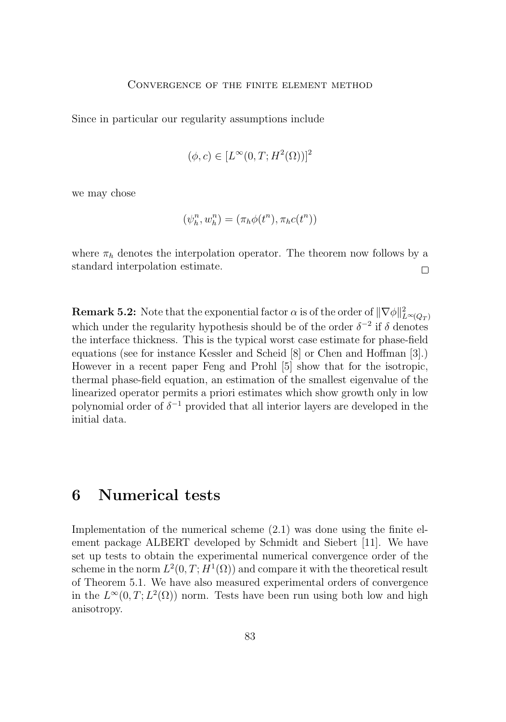Since in particular our regularity assumptions include

$$
(\phi, c) \in [L^{\infty}(0, T; H^2(\Omega))]^2
$$

we may chose

$$
(\psi_h^n, w_h^n) = (\pi_h \phi(t^n), \pi_h c(t^n))
$$

where  $\pi_h$  denotes the interpolation operator. The theorem now follows by a standard interpolation estimate.  $\Box$ 

**Remark 5.2:** Note that the exponential factor  $\alpha$  is of the order of  $\|\nabla\phi\|_{L^{\infty}(Q_T)}^2$ which under the regularity hypothesis should be of the order  $\delta^{-2}$  if  $\delta$  denotes the interface thickness. This is the typical worst case estimate for phase-field equations (see for instance Kessler and Scheid [8] or Chen and Hoffman [3].) However in a recent paper Feng and Prohl [5] show that for the isotropic, thermal phase-field equation, an estimation of the smallest eigenvalue of the linearized operator permits a priori estimates which show growth only in low polynomial order of  $\delta^{-1}$  provided that all interior layers are developed in the initial data.

### **6 Numerical tests**

Implementation of the numerical scheme [\(2.1\)](#page-4-0) was done using the finite element package ALBERT developed by Schmidt and Siebert [11]. We have set up tests to obtain the experimental numerical convergence order of the scheme in the norm  $L^2(0,T;H^1(\Omega))$  and compare it with the theoretical result of Theorem [5.1.](#page-10-0) We have also measured experimental orders of convergence in the  $L^{\infty}(0,T; L^2(\Omega))$  norm. Tests have been run using both low and high anisotropy.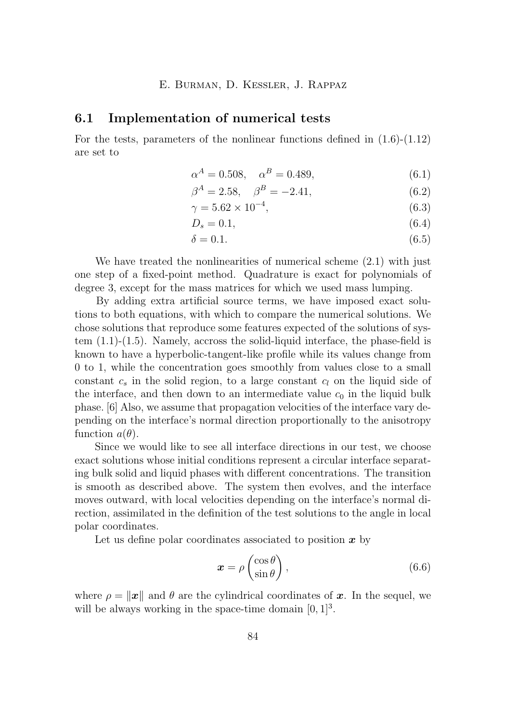#### **6.1 Implementation of numerical tests**

For the tests, parameters of the nonlinear functions defined in  $(1.6)-(1.12)$  $(1.6)-(1.12)$  $(1.6)-(1.12)$ are set to

$$
\alpha^A = 0.508, \quad \alpha^B = 0.489,\tag{6.1}
$$

$$
\beta^A = 2.58, \quad \beta^B = -2.41,\tag{6.2}
$$

$$
\gamma = 5.62 \times 10^{-4},\tag{6.3}
$$

$$
D_s = 0.1,\tag{6.4}
$$

$$
\delta = 0.1.\tag{6.5}
$$

We have treated the nonlinearities of numerical scheme [\(2.1\)](#page-4-0) with just one step of a fixed-point method. Quadrature is exact for polynomials of degree 3, except for the mass matrices for which we used mass lumping.

By adding extra artificial source terms, we have imposed exact solutions to both equations, with which to compare the numerical solutions. We chose solutions that reproduce some features expected of the solutions of system [\(1.1\)](#page-2-0)-[\(1.5\)](#page-2-0). Namely, accross the solid-liquid interface, the phase-field is known to have a hyperbolic-tangent-like profile while its values change from 0 to 1, while the concentration goes smoothly from values close to a small constant  $c_s$  in the solid region, to a large constant  $c_l$  on the liquid side of the interface, and then down to an intermediate value  $c_0$  in the liquid bulk phase. [6] Also, we assume that propagation velocities of the interface vary depending on the interface's normal direction proportionally to the anisotropy function  $a(\theta)$ .

Since we would like to see all interface directions in our test, we choose exact solutions whose initial conditions represent a circular interface separating bulk solid and liquid phases with different concentrations. The transition is smooth as described above. The system then evolves, and the interface moves outward, with local velocities depending on the interface's normal direction, assimilated in the definition of the test solutions to the angle in local polar coordinates.

Let us define polar coordinates associated to position  $x$  by

$$
\boldsymbol{x} = \rho \begin{pmatrix} \cos \theta \\ \sin \theta \end{pmatrix},\tag{6.6}
$$

where  $\rho = ||x||$  and  $\theta$  are the cylindrical coordinates of x. In the sequel, we will be always working in the space-time domain  $[0, 1]^3$ .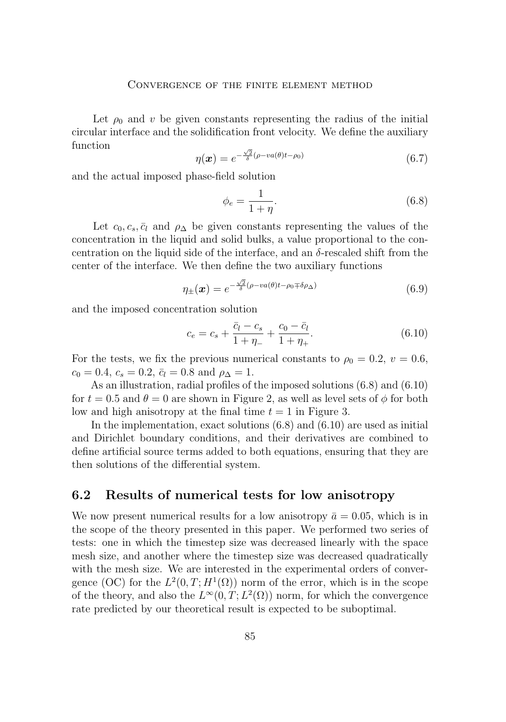#### Convergence of the finite element method

<span id="page-19-0"></span>Let  $\rho_0$  and v be given constants representing the radius of the initial circular interface and the solidification front velocity. We define the auxiliary function √

$$
\eta(\boldsymbol{x}) = e^{-\frac{\sqrt{2}}{\delta}(\rho - va(\theta)t - \rho_0)}\tag{6.7}
$$

and the actual imposed phase-field solution

$$
\phi_e = \frac{1}{1+\eta}.\tag{6.8}
$$

Let  $c_0, c_s, \bar{c}_l$  and  $\rho_{\Delta}$  be given constants representing the values of the concentration in the liquid and solid bulks, a value proportional to the concentration on the liquid side of the interface, and an  $\delta$ -rescaled shift from the center of the interface. We then define the two auxiliary functions

$$
\eta_{\pm}(\boldsymbol{x}) = e^{-\frac{\sqrt{2}}{\delta}(\rho - va(\theta)t - \rho_0 \mp \delta \rho_{\Delta})}
$$
(6.9)

and the imposed concentration solution

$$
c_e = c_s + \frac{\bar{c}_l - c_s}{1 + \eta_-} + \frac{c_0 - \bar{c}_l}{1 + \eta_+}.
$$
\n(6.10)

For the tests, we fix the previous numerical constants to  $\rho_0 = 0.2, v = 0.6$ ,  $c_0 = 0.4$ ,  $c_s = 0.2$ ,  $\bar{c}_l = 0.8$  and  $\rho_{\Delta} = 1$ .

As an illustration, radial profiles of the imposed solutions (6.8) and (6.10) for  $t = 0.5$  and  $\theta = 0$  are shown in Figure [2,](#page-20-0) as well as level sets of  $\phi$  for both low and high anisotropy at the final time  $t = 1$  in Figure [3.](#page-20-0)

In the implementation, exact solutions (6.8) and (6.10) are used as initial and Dirichlet boundary conditions, and their derivatives are combined to define artificial source terms added to both equations, ensuring that they are then solutions of the differential system.

### **6.2 Results of numerical tests for low anisotropy**

We now present numerical results for a low anisotropy  $\bar{a} = 0.05$ , which is in the scope of the theory presented in this paper. We performed two series of tests: one in which the timestep size was decreased linearly with the space mesh size, and another where the timestep size was decreased quadratically with the mesh size. We are interested in the experimental orders of convergence (OC) for the  $L^2(0,T;H^1(\Omega))$  norm of the error, which is in the scope of the theory, and also the  $L^{\infty}(0,T; L^2(\Omega))$  norm, for which the convergence rate predicted by our theoretical result is expected to be suboptimal.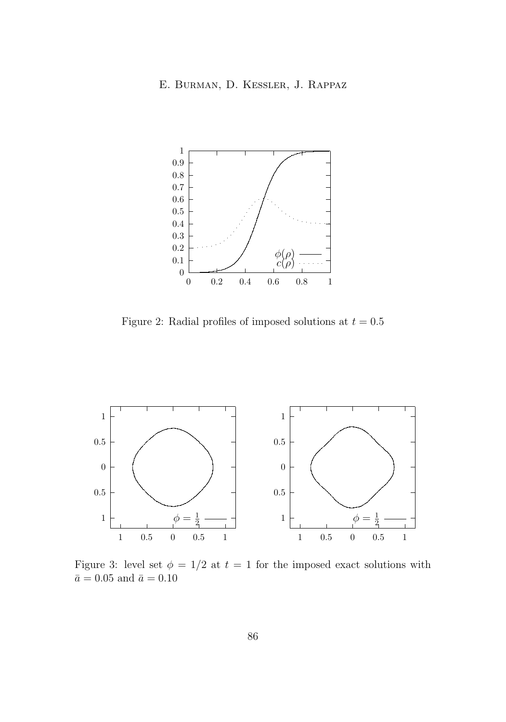<span id="page-20-0"></span>

Figure 2: Radial profiles of imposed solutions at  $t = 0.5$ 



Figure 3: level set  $\phi = 1/2$  at  $t = 1$  for the imposed exact solutions with  $\bar{a}=0.05$  and  $\bar{a}=0.10$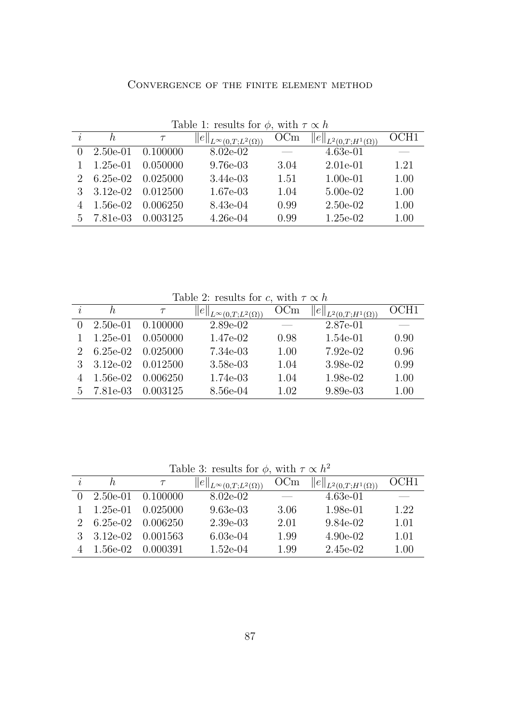| CONVERGENCE OF THE FINITE ELEMENT METHOD |  |  |  |
|------------------------------------------|--|--|--|
|                                          |  |  |  |

<span id="page-21-0"></span>

|               | Table 1: results for $\varphi$ , with $\tau \propto h$ |          |                                       |      |                                |      |  |
|---------------|--------------------------------------------------------|----------|---------------------------------------|------|--------------------------------|------|--|
|               | h.                                                     | $\tau$   | $  e  _{L^{\infty}(0,T;L^2(\Omega))}$ | OCm  | $  e  _{L^2(0,T;H^1(\Omega))}$ | OCH1 |  |
|               | $2.50e-01$                                             | 0.100000 | 8.02e-02                              |      | $4.63e-01$                     |      |  |
|               | $1.25e-01$                                             | 0.050000 | $9.76e-03$                            | 3.04 | $2.01e-01$                     | 1.21 |  |
| $\mathcal{L}$ | $6.25e-02$                                             | 0.025000 | 3.44e-03                              | 1.51 | $1.00e-01$                     | 1.00 |  |
|               | $3.12e-02$                                             | 0.012500 | 1.67e-03                              | 1.04 | $5.00e-02$                     | 1.00 |  |
|               | 1.56e-02                                               | 0.006250 | 8.43e-04                              | 0.99 | $2.50e-02$                     | 1.00 |  |
| 5.            | 7.81e-03                                               | 0.003125 | $4.26e-04$                            | 0.99 | $1.25e-02$                     | 1.00 |  |

Table 1: results for  $\phi$ , with  $\tau \propto h$ 

Table 2: results for c, with  $\tau \propto h$ 

| $\overline{\mathbf{r}}$ | h,         |          | $  e  _{L^{\infty}(0,T;L^2(\Omega))}$ | OCm  | $\ _{L^2(0,T;H^1(\Omega))}$ | OCH1 |
|-------------------------|------------|----------|---------------------------------------|------|-----------------------------|------|
| $\mathbf{0}$            | $2.50e-01$ | 0.100000 | $2.89e-02$                            |      | 2.87e-01                    |      |
|                         | $1.25e-01$ | 0.050000 | 1.47e-02                              | 0.98 | 1.54e-01                    | 0.90 |
|                         | $6.25e-02$ | 0.025000 | 7.34e-03                              | 1.00 | 7.92e-02                    | 0.96 |
|                         | $3.12e-02$ | 0.012500 | 3.58e-03                              | 1.04 | 3.98e-02                    | 0.99 |
|                         | 1.56e-02   | 0.006250 | 1.74e-03                              | 1.04 | 1.98e-02                    | 1.00 |
| 5 <sup>5</sup>          | 7.81e-03   | 0.003125 | 8.56e-04                              | 1.02 | $9.89e-03$                  | 1.00 |

Table 3: results for  $\phi$ , with  $\tau \propto h^2$ 

|             | h.                           |                           | $  e  _{L^{\infty}(0,T;L^2(\Omega))}$ | OCm                      | $  e  _{L^2(0,T;H^1(\Omega))}$ | OCH1 |
|-------------|------------------------------|---------------------------|---------------------------------------|--------------------------|--------------------------------|------|
| $\Omega$    | $2.50e-01$                   | 0.100000                  | $8.02e-02$                            | $\overline{\phantom{a}}$ | 4.63e-01                       |      |
|             | $1.25e-01$                   | 0.025000                  | $9.63e-03$                            | 3.06                     | 1.98e-01                       | 1.22 |
| $2^{\circ}$ |                              | $6.25e-02 \quad 0.006250$ | 2.39e-03                              | 2.01                     | 9.84e-02                       | 1.01 |
|             | $3 \quad 3.12 \text{e} - 02$ | 0.001563                  | $6.03e-04$                            | 1.99                     | $4.90e-02$                     | 1.01 |
|             | 1.56e-02                     | 0.000391                  | 1.52e-04                              | 1.99                     | 2.45e-02                       | 1.00 |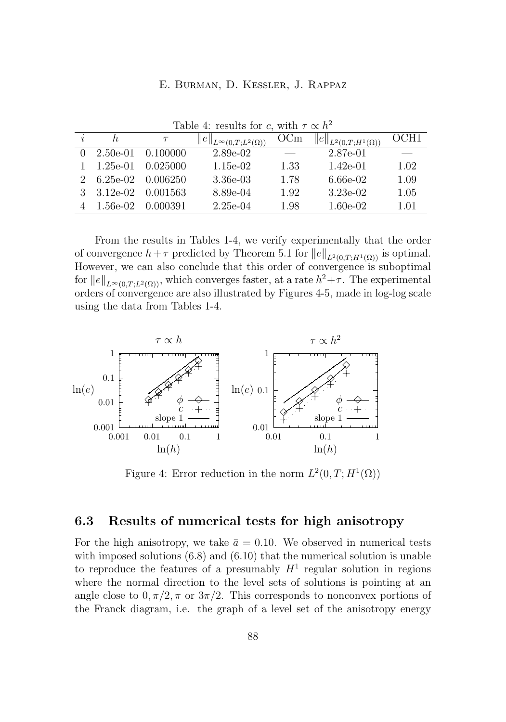|                             | Table 4: results for c, with $\tau \propto n^{-1}$ |                       |                                       |      |                                |                  |  |  |
|-----------------------------|----------------------------------------------------|-----------------------|---------------------------------------|------|--------------------------------|------------------|--|--|
|                             | h.                                                 |                       | $  e  _{L^{\infty}(0,T;L^2(\Omega))}$ | OCm  | $  e  _{L^2(0,T;H^1(\Omega))}$ | OCH <sub>1</sub> |  |  |
| 0                           | $2.50e-01$ $0.100000$                              |                       | 2.89e-02                              |      | 2.87e-01                       |                  |  |  |
|                             | $1.25e-01$                                         | 0.025000              | $1.15e-02$                            | 1.33 | $1.42e-01$                     | 1.02             |  |  |
| $\mathcal{D}_{\mathcal{L}}$ |                                                    | $6.25e-02$ $0.006250$ | 3.36e-03                              | 1.78 | 6.66e-02                       | 1.09             |  |  |
| $\mathcal{S}$               | $3.12e-02$                                         | 0.001563              | 8.89e-04                              | 1.92 | $3.23e-02$                     | 1.05             |  |  |
|                             | 1.56e-02                                           | 0.000391              | $2.25e-04$                            | 1.98 | $1.60e-02$                     | 1.01             |  |  |

 $T_{\rm max}$   $\alpha$  results for c, with  $T_{\rm max}$  $2 \times 12$ 

From the results in Tables [1-](#page-21-0)4, we verify experimentally that the order of convergence  $h+\tau$  predicted by Theorem [5.1](#page-10-0) for  $||e||_{L^2(0,T;H^1(\Omega))}$  is optimal. However, we can also conclude that this order of convergence is suboptimal for  $||e||_{L^{\infty}(0,T;L^2(\Omega))}$ , which converges faster, at a rate  $h^2+\tau$ . The experimental orders of convergence are also illustrated by Figures 4[-5,](#page-23-0) made in log-log scale using the data from Tables [1-](#page-21-0)4.



Figure 4: Error reduction in the norm  $L^2(0,T;H^1(\Omega))$ 

### **6.3 Results of numerical tests for high anisotropy**

For the high anisotropy, we take  $\bar{a} = 0.10$ . We observed in numerical tests with imposed solutions  $(6.8)$  and  $(6.10)$  that the numerical solution is unable to reproduce the features of a presumably  $H<sup>1</sup>$  regular solution in regions where the normal direction to the level sets of solutions is pointing at an angle close to  $0, \pi/2, \pi$  or  $3\pi/2$ . This corresponds to nonconvex portions of the Franck diagram, i.e. the graph of a level set of the anisotropy energy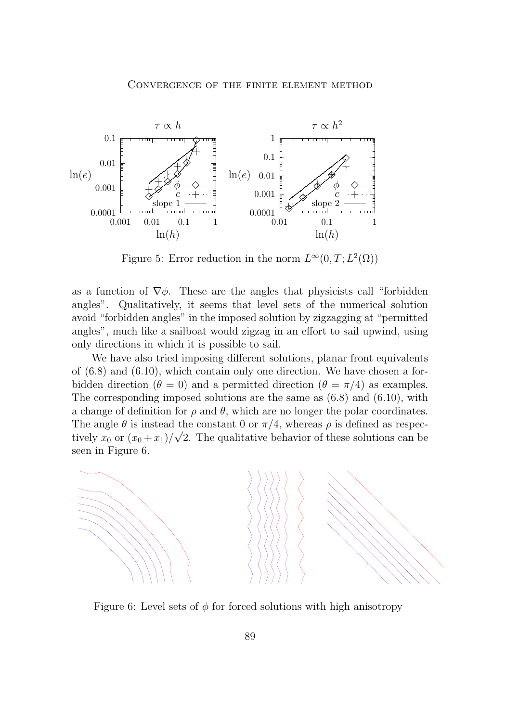<span id="page-23-0"></span>

Figure 5: Error reduction in the norm  $L^{\infty}(0,T; L^{2}(\Omega))$ 

as a function of  $\nabla \phi$ . These are the angles that physicists call "forbidden" angles". Qualitatively, it seems that level sets of the numerical solution avoid "forbidden angles" in the imposed solution by zigzagging at "permitted angles", much like a sailboat would zigzag in an effort to sail upwind, using only directions in which it is possible to sail.

We have also tried imposing different solutions, planar front equivalents of  $(6.8)$  and  $(6.10)$ , which contain only one direction. We have chosen a forbidden direction ( $\theta = 0$ ) and a permitted direction ( $\theta = \pi/4$ ) as examples. The corresponding imposed solutions are the same as  $(6.8)$  and  $(6.10)$ , with a change of definition for  $\rho$  and  $\theta$ , which are no longer the polar coordinates. The angle  $\theta$  is instead the constant 0 or  $\pi/4$ , whereas  $\rho$  is defined as respectively  $x_0$  or  $(x_0 + x_1)/\sqrt{2}$ . The qualitative behavior of these solutions can be seen in Figure 6.



Figure 6: Level sets of  $\phi$  for forced solutions with high anisotropy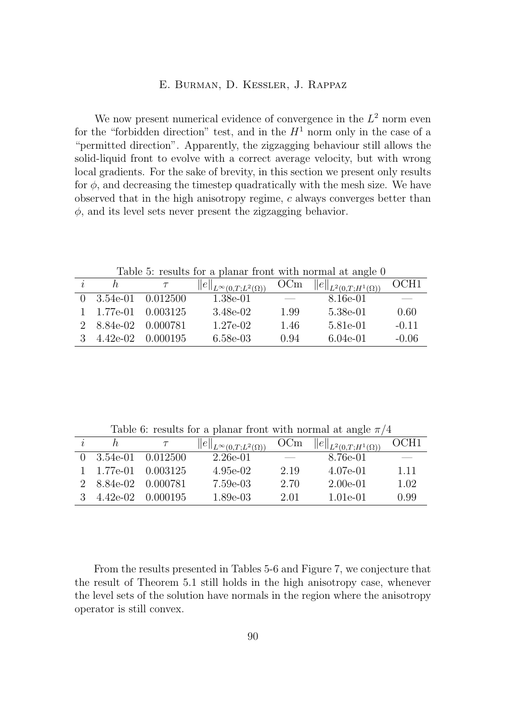We now present numerical evidence of convergence in the  $L^2$  norm even for the "forbidden direction" test, and in the  $H<sup>1</sup>$  norm only in the case of a "permitted direction". Apparently, the zigzagging behaviour still allows the solid-liquid front to evolve with a correct average velocity, but with wrong local gradients. For the sake of brevity, in this section we present only results for  $\phi$ , and decreasing the timestep quadratically with the mesh size. We have observed that in the high anisotropy regime, c always converges better than  $\phi$ , and its level sets never present the zigzagging behavior.

Table 5: results for a planar front with normal at angle 0

|                    |          | $  e  _{L^{\infty}(0,T;L^2(\Omega))}$ | OCm                      | $  e  _{L^2(0,T;H^1(\Omega))}$ | OCH1                     |
|--------------------|----------|---------------------------------------|--------------------------|--------------------------------|--------------------------|
| $0 \quad 3.54e-01$ | 0.012500 | 1.38e-01                              | $\overline{\phantom{m}}$ | 8.16e-01                       | $\overline{\phantom{a}}$ |
| 1 1.77e-01         | 0.003125 | 3.48e-02                              | 1.99                     | 5.38e-01                       | 0.60                     |
| 2 8.84e-02         | 0.000781 | $1.27e-02$                            | 1.46                     | 5.81e-01                       | $-0.11$                  |
| 4.42e-02           | 0.000195 | 6.58e-03                              | 0.94                     | $6.04e-01$                     | $-0.06$                  |

Table 6: results for a planar front with normal at angle  $\pi/4$ 

|               |                    |          | $  e  _{L^{\infty}(0,T;L^2(\Omega))}$ | OCm                      | $  e  _{L^2(0,T;H^1(\Omega))}$ | OCH1 |
|---------------|--------------------|----------|---------------------------------------|--------------------------|--------------------------------|------|
|               | $0 \quad 3.54e-01$ | 0.012500 | 2.26e-01                              | $\overline{\phantom{a}}$ | 8.76e-01                       | --   |
|               | $1 \quad 1.77e-01$ | 0.003125 | 4.95e-02                              | 2.19                     | 4.07e-01                       | 111  |
|               | 2 8.84e-02         | 0.000781 | 7.59e-03                              | 2.70                     | $2.00e-01$                     | 1.02 |
| $\mathcal{S}$ | 4.42e-02           | 0.000195 | 1.89e-03                              | 2.01                     | 1.01e-01                       | 0.99 |

From the results presented in Tables 5-6 and Figure [7,](#page-25-0) we conjecture that the result of Theorem [5.1](#page-10-0) still holds in the high anisotropy case, whenever the level sets of the solution have normals in the region where the anisotropy operator is still convex.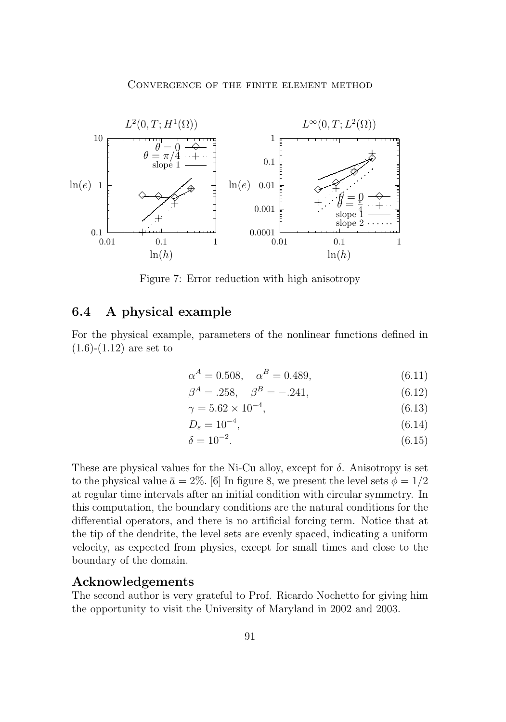<span id="page-25-0"></span>

Figure 7: Error reduction with high anisotropy

### **6.4 A physical example**

For the physical example, parameters of the nonlinear functions defined in  $(1.6)-(1.12)$  $(1.6)-(1.12)$  $(1.6)-(1.12)$  are set to

$$
\alpha^A = 0.508, \quad \alpha^B = 0.489,\tag{6.11}
$$

$$
\beta^A = .258, \quad \beta^B = -.241, \tag{6.12}
$$

$$
\gamma = 5.62 \times 10^{-4},\tag{6.13}
$$

$$
D_s = 10^{-4},\tag{6.14}
$$

$$
\delta = 10^{-2}.\tag{6.15}
$$

These are physical values for the Ni-Cu alloy, except for  $\delta$ . Anisotropy is set to the physical value  $\bar{a} = 2\%$ . [6] In figure [8,](#page-26-0) we present the level sets  $\phi = 1/2$ at regular time intervals after an initial condition with circular symmetry. In this computation, the boundary conditions are the natural conditions for the differential operators, and there is no artificial forcing term. Notice that at the tip of the dendrite, the level sets are evenly spaced, indicating a uniform velocity, as expected from physics, except for small times and close to the boundary of the domain.

#### **Acknowledgements**

The second author is very grateful to Prof. Ricardo Nochetto for giving him the opportunity to visit the University of Maryland in 2002 and 2003.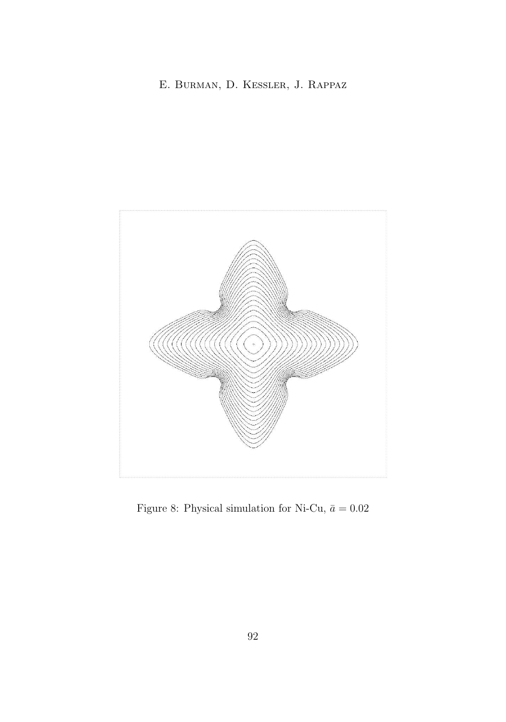<span id="page-26-0"></span>

Figure 8: Physical simulation for Ni-Cu,  $\bar{a} = 0.02$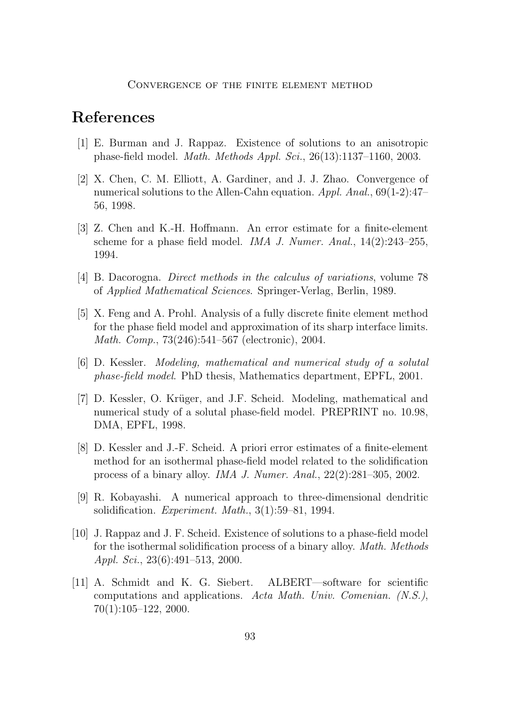# **References**

- [1] E. Burman and J. Rappaz. Existence of solutions to an anisotropic phase-field model. *Math. Methods Appl. Sci.*, 26(13):1137–1160, 2003.
- [2] X. Chen, C. M. Elliott, A. Gardiner, and J. J. Zhao. Convergence of numerical solutions to the Allen-Cahn equation. *Appl. Anal.*, 69(1-2):47– 56, 1998.
- [3] Z. Chen and K.-H. Hoffmann. An error estimate for a finite-element scheme for a phase field model. *IMA J. Numer. Anal.*, 14(2):243–255, 1994.
- [4] B. Dacorogna. *Direct methods in the calculus of variations*, volume 78 of *Applied Mathematical Sciences*. Springer-Verlag, Berlin, 1989.
- [5] X. Feng and A. Prohl. Analysis of a fully discrete finite element method for the phase field model and approximation of its sharp interface limits. *Math. Comp.*, 73(246):541–567 (electronic), 2004.
- [6] D. Kessler. *Modeling, mathematical and numerical study of a solutal phase-field model*. PhD thesis, Mathematics department, EPFL, 2001.
- [7] D. Kessler, O. Krüger, and J.F. Scheid. Modeling, mathematical and numerical study of a solutal phase-field model. PREPRINT no. 10.98, DMA, EPFL, 1998.
- [8] D. Kessler and J.-F. Scheid. A priori error estimates of a finite-element method for an isothermal phase-field model related to the solidification process of a binary alloy. *IMA J. Numer. Anal.*, 22(2):281–305, 2002.
- [9] R. Kobayashi. A numerical approach to three-dimensional dendritic solidification. *Experiment. Math.*, 3(1):59–81, 1994.
- [10] J. Rappaz and J. F. Scheid. Existence of solutions to a phase-field model for the isothermal solidification process of a binary alloy. *Math. Methods Appl. Sci.*, 23(6):491–513, 2000.
- [11] A. Schmidt and K. G. Siebert. ALBERT—software for scientific computations and applications. *Acta Math. Univ. Comenian. (N.S.)*, 70(1):105–122, 2000.